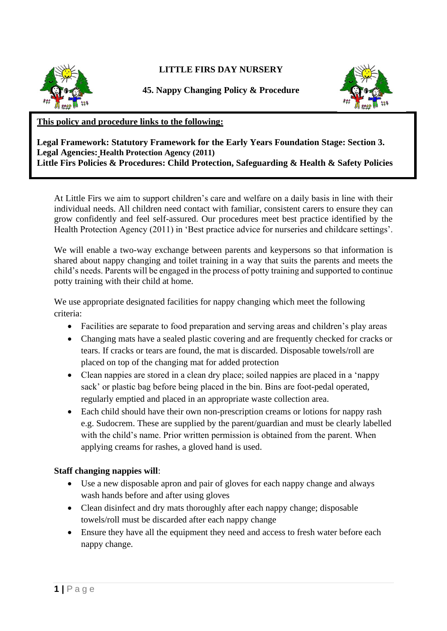

## **LITTLE FIRS DAY NURSERY**

**45. Nappy Changing Policy & Procedure**



## **This policy and procedure links to the following:**

**Legal Framework: Statutory Framework for the Early Years Foundation Stage: Section 3. Legal Agencies: Health Protection Agency (2011) Little Firs Policies & Procedures: Child Protection, Safeguarding & Health & Safety Policies**

At Little Firs we aim to support children's care and welfare on a daily basis in line with their individual needs. All children need contact with familiar, consistent carers to ensure they can grow confidently and feel self-assured. Our procedures meet best practice identified by the Health Protection Agency (2011) in 'Best practice advice for nurseries and childcare settings'.

We will enable a two-way exchange between parents and keypersons so that information is shared about nappy changing and toilet training in a way that suits the parents and meets the child's needs. Parents will be engaged in the process of potty training and supported to continue potty training with their child at home.

We use appropriate designated facilities for nappy changing which meet the following criteria:

- Facilities are separate to food preparation and serving areas and children's play areas
- Changing mats have a sealed plastic covering and are frequently checked for cracks or tears. If cracks or tears are found, the mat is discarded. Disposable towels/roll are placed on top of the changing mat for added protection
- Clean nappies are stored in a clean dry place; soiled nappies are placed in a 'nappy sack' or plastic bag before being placed in the bin. Bins are foot-pedal operated, regularly emptied and placed in an appropriate waste collection area.
- Each child should have their own non-prescription creams or lotions for nappy rash e.g. Sudocrem. These are supplied by the parent/guardian and must be clearly labelled with the child's name. Prior written permission is obtained from the parent. When applying creams for rashes, a gloved hand is used.

## **Staff changing nappies will**:

- Use a new disposable apron and pair of gloves for each nappy change and always wash hands before and after using gloves
- Clean disinfect and dry mats thoroughly after each nappy change; disposable towels/roll must be discarded after each nappy change
- Ensure they have all the equipment they need and access to fresh water before each nappy change.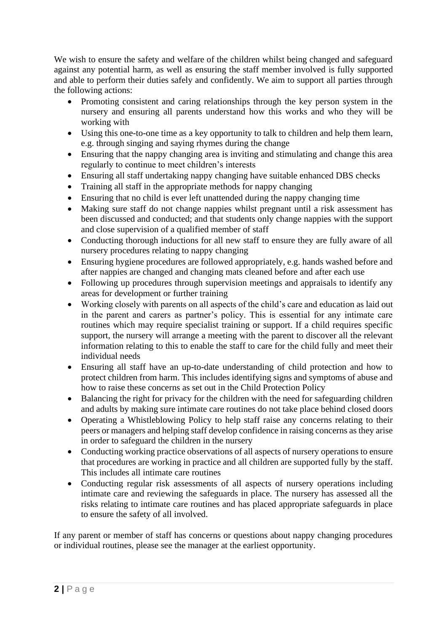We wish to ensure the safety and welfare of the children whilst being changed and safeguard against any potential harm, as well as ensuring the staff member involved is fully supported and able to perform their duties safely and confidently. We aim to support all parties through the following actions:

- Promoting consistent and caring relationships through the key person system in the nursery and ensuring all parents understand how this works and who they will be working with
- Using this one-to-one time as a key opportunity to talk to children and help them learn, e.g. through singing and saying rhymes during the change
- Ensuring that the nappy changing area is inviting and stimulating and change this area regularly to continue to meet children's interests
- Ensuring all staff undertaking nappy changing have suitable enhanced DBS checks
- Training all staff in the appropriate methods for nappy changing
- Ensuring that no child is ever left unattended during the nappy changing time
- Making sure staff do not change nappies whilst pregnant until a risk assessment has been discussed and conducted; and that students only change nappies with the support and close supervision of a qualified member of staff
- Conducting thorough inductions for all new staff to ensure they are fully aware of all nursery procedures relating to nappy changing
- Ensuring hygiene procedures are followed appropriately, e.g. hands washed before and after nappies are changed and changing mats cleaned before and after each use
- Following up procedures through supervision meetings and appraisals to identify any areas for development or further training
- Working closely with parents on all aspects of the child's care and education as laid out in the parent and carers as partner's policy. This is essential for any intimate care routines which may require specialist training or support. If a child requires specific support, the nursery will arrange a meeting with the parent to discover all the relevant information relating to this to enable the staff to care for the child fully and meet their individual needs
- Ensuring all staff have an up-to-date understanding of child protection and how to protect children from harm. This includes identifying signs and symptoms of abuse and how to raise these concerns as set out in the Child Protection Policy
- Balancing the right for privacy for the children with the need for safeguarding children and adults by making sure intimate care routines do not take place behind closed doors
- Operating a Whistleblowing Policy to help staff raise any concerns relating to their peers or managers and helping staff develop confidence in raising concerns as they arise in order to safeguard the children in the nursery
- Conducting working practice observations of all aspects of nursery operations to ensure that procedures are working in practice and all children are supported fully by the staff. This includes all intimate care routines
- Conducting regular risk assessments of all aspects of nursery operations including intimate care and reviewing the safeguards in place. The nursery has assessed all the risks relating to intimate care routines and has placed appropriate safeguards in place to ensure the safety of all involved.

If any parent or member of staff has concerns or questions about nappy changing procedures or individual routines, please see the manager at the earliest opportunity.